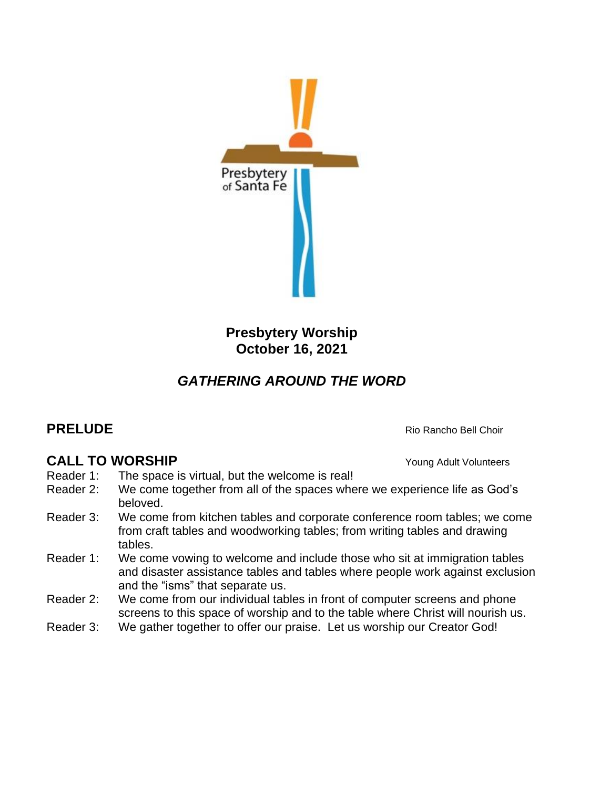

**Presbytery Worship October 16, 2021**

# *GATHERING AROUND THE WORD*

## **PRELUDE Rio Rancho Bell Choir**

## **CALL TO WORSHIP** Young Adult Volunteers

- Reader 1: The space is virtual, but the welcome is real!
- Reader 2: We come together from all of the spaces where we experience life as God's beloved.
- Reader 3: We come from kitchen tables and corporate conference room tables; we come from craft tables and woodworking tables; from writing tables and drawing tables.
- Reader 1: We come vowing to welcome and include those who sit at immigration tables and disaster assistance tables and tables where people work against exclusion and the "isms" that separate us.
- Reader 2: We come from our individual tables in front of computer screens and phone screens to this space of worship and to the table where Christ will nourish us.
- Reader 3: We gather together to offer our praise. Let us worship our Creator God!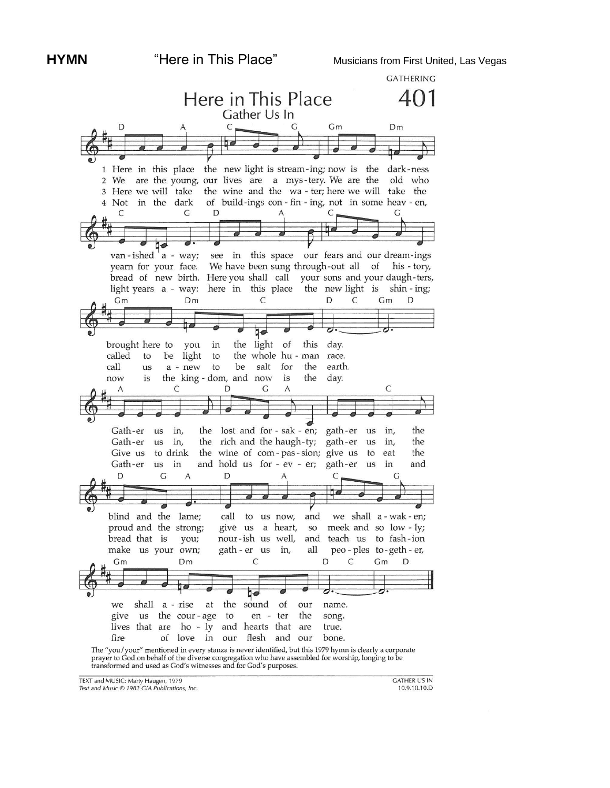

TEXT and MUSIC: Marty Haugen, 1979

Text and Music © 1982 GIA Publications, Inc.

**GATHER US IN** 10.9.10.10.D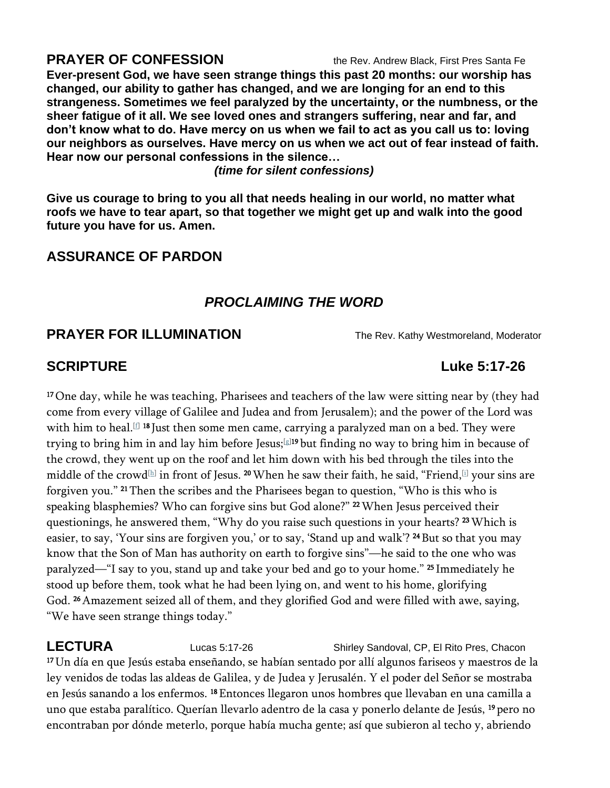### **PRAYER OF CONFESSION** the Rev. Andrew Black, First Pres Santa Fe

**Ever-present God, we have seen strange things this past 20 months: our worship has changed, our ability to gather has changed, and we are longing for an end to this strangeness. Sometimes we feel paralyzed by the uncertainty, or the numbness, or the sheer fatigue of it all. We see loved ones and strangers suffering, near and far, and don't know what to do. Have mercy on us when we fail to act as you call us to: loving our neighbors as ourselves. Have mercy on us when we act out of fear instead of faith. Hear now our personal confessions in the silence…**

*(time for silent confessions)*

**Give us courage to bring to you all that needs healing in our world, no matter what roofs we have to tear apart, so that together we might get up and walk into the good future you have for us. Amen.**

## **ASSURANCE OF PARDON**

### *PROCLAIMING THE WORD*

### **PRAYER FOR ILLUMINATION** The Rev. Kathy Westmoreland, Moderator

<sup>17</sup> One day, while he was teaching, Pharisees and teachers of the law were sitting near by (they had come from every village of Galilee and Judea and from Jerusalem); and the power of the Lord was with him to heal.[\[f\]](https://www.biblegateway.com/passage/?search=Luke+5&version=NRSV#fen-NRSV-25117f) 18 Just then some men came, carrying a paralyzed man on a bed. They were trying to bring him in and lay him before Jesus;[\[g\]](https://www.biblegateway.com/passage/?search=Luke+5&version=NRSV#fen-NRSV-25118g)19 but finding no way to bring him in because of the crowd, they went up on the roof and let him down with his bed through the tiles into the middle of the crowd $\text{\tiny{[h]}}$  $\text{\tiny{[h]}}$  $\text{\tiny{[h]}}$  in front of Jesus.  $^{20}\rm{W}$ hen he saw their faith, he said, "Friend, $\text{\tiny{[i]}}$  $\text{\tiny{[i]}}$  $\text{\tiny{[i]}}$  your sins are forgiven you." <sup>21</sup> Then the scribes and the Pharisees began to question, "Who is this who is speaking blasphemies? Who can forgive sins but God alone?" <sup>22</sup> When Jesus perceived their questionings, he answered them, "Why do you raise such questions in your hearts? <sup>23</sup> Which is easier, to say, 'Your sins are forgiven you,' or to say, 'Stand up and walk'? <sup>24</sup> But so that you may know that the Son of Man has authority on earth to forgive sins"—he said to the one who was paralyzed—"I say to you, stand up and take your bed and go to your home." <sup>25</sup> Immediately he stood up before them, took what he had been lying on, and went to his home, glorifying God. <sup>26</sup> Amazement seized all of them, and they glorified God and were filled with awe, saying, "We have seen strange things today."

**LECTURA** Lucas 5:17-26 Shirley Sandoval, CP, El Rito Pres, Chacon <sup>17</sup>Un día en que Jesús estaba enseñando, se habían sentado por allí algunos fariseos y maestros de la ley venidos de todas las aldeas de Galilea, y de Judea y Jerusalén. Y el poder del Señor se mostraba en Jesús sanando a los enfermos. <sup>18</sup>Entonces llegaron unos hombres que llevaban en una camilla a uno que estaba paralítico. Querían llevarlo adentro de la casa y ponerlo delante de Jesús, <sup>19</sup> pero no encontraban por dónde meterlo, porque había mucha gente; así que subieron al techo y, abriendo

## **SCRIPTURE** Luke 5:17-26